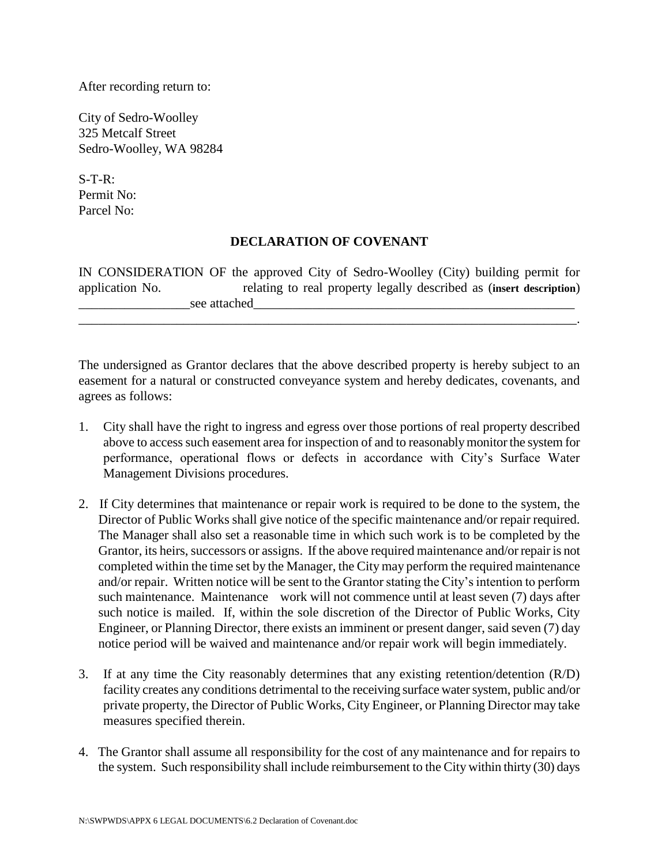After recording return to:

City of Sedro-Woolley 325 Metcalf Street Sedro-Woolley, WA 98284

 $S-T-R$ : Permit No: Parcel No:

## **DECLARATION OF COVENANT**

IN CONSIDERATION OF the approved City of Sedro-Woolley (City) building permit for application No. relating to real property legally described as (**insert description**) see attached

\_\_\_\_\_\_\_\_\_\_\_\_\_\_\_\_\_\_\_\_\_\_\_\_\_\_\_\_\_\_\_\_\_\_\_\_\_\_\_\_\_\_\_\_\_\_\_\_\_\_\_\_\_\_\_\_\_\_\_\_\_\_\_\_\_\_\_\_\_\_\_\_\_\_\_\_.

The undersigned as Grantor declares that the above described property is hereby subject to an easement for a natural or constructed conveyance system and hereby dedicates, covenants, and agrees as follows:

- 1. City shall have the right to ingress and egress over those portions of real property described above to access such easement area for inspection of and to reasonably monitor the system for performance, operational flows or defects in accordance with City's Surface Water Management Divisions procedures.
- 2. If City determines that maintenance or repair work is required to be done to the system, the Director of Public Works shall give notice of the specific maintenance and/or repair required. The Manager shall also set a reasonable time in which such work is to be completed by the Grantor, its heirs, successors or assigns. If the above required maintenance and/or repair is not completed within the time set by the Manager, the City may perform the required maintenance and/or repair. Written notice will be sent to the Grantor stating the City's intention to perform such maintenance. Maintenance work will not commence until at least seven (7) days after such notice is mailed. If, within the sole discretion of the Director of Public Works, City Engineer, or Planning Director, there exists an imminent or present danger, said seven (7) day notice period will be waived and maintenance and/or repair work will begin immediately.
- 3. If at any time the City reasonably determines that any existing retention/detention (R/D) facility creates any conditions detrimental to the receiving surface water system, public and/or private property, the Director of Public Works, City Engineer, or Planning Director may take measures specified therein.
- 4. The Grantor shall assume all responsibility for the cost of any maintenance and for repairs to the system. Such responsibility shall include reimbursement to the City within thirty (30) days